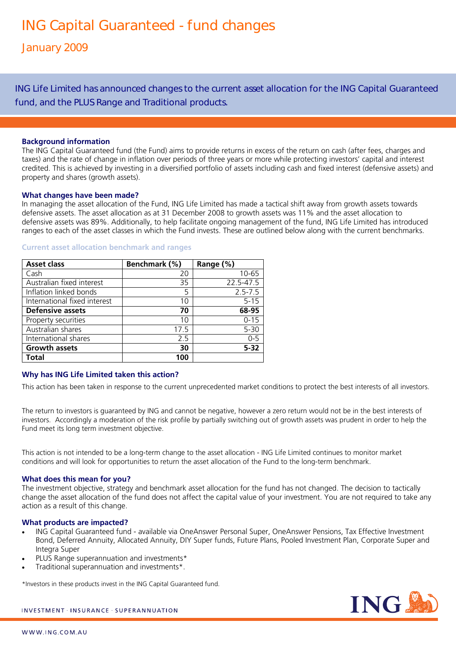ING Life Limited has announced changes to the current asset allocation for the ING Capital Guaranteed fund, and the PLUS Range and Traditional products.

# **Background information**

The ING Capital Guaranteed fund (the Fund) aims to provide returns in excess of the return on cash (after fees, charges and taxes) and the rate of change in inflation over periods of three years or more while protecting investors' capital and interest credited. This is achieved by investing in a diversified portfolio of assets including cash and fixed interest (defensive assets) and property and shares (growth assets).

### **What changes have been made?**

In managing the asset allocation of the Fund, ING Life Limited has made a tactical shift away from growth assets towards defensive assets. The asset allocation as at 31 December 2008 to growth assets was 11% and the asset allocation to defensive assets was 89%. Additionally, to help facilitate ongoing management of the fund, ING Life Limited has introduced ranges to each of the asset classes in which the Fund invests. These are outlined below along with the current benchmarks.

| <b>Asset class</b>           | Benchmark (%) | Range (%)   |
|------------------------------|---------------|-------------|
| Cash                         | 20            | 10-65       |
| Australian fixed interest    | 35            | 22.5-47.5   |
| Inflation linked bonds       | 5             | $2.5 - 7.5$ |
| International fixed interest | 10            | $5 - 15$    |
| <b>Defensive assets</b>      | 70            | 68-95       |
| Property securities          | 10            | $0 - 15$    |
| Australian shares            | 17.5          | $5 - 30$    |
| International shares         | 2.5           | $0 - 5$     |
| <b>Growth assets</b>         | 30            | $5 - 32$    |
| Total                        | 100           |             |

#### **Current asset allocation benchmark and ranges**

# **Why has ING Life Limited taken this action?**

This action has been taken in response to the current unprecedented market conditions to protect the best interests of all investors.

The return to investors is guaranteed by ING and cannot be negative, however a zero return would not be in the best interests of investors. Accordingly a moderation of the risk profile by partially switching out of growth assets was prudent in order to help the Fund meet its long term investment objective.

This action is not intended to be a long-term change to the asset allocation - ING Life Limited continues to monitor market conditions and will look for opportunities to return the asset allocation of the Fund to the long-term benchmark.

### **What does this mean for you?**

The investment objective, strategy and benchmark asset allocation for the fund has not changed. The decision to tactically change the asset allocation of the fund does not affect the capital value of your investment. You are not required to take any action as a result of this change.

### **What products are impacted?**

- ING Capital Guaranteed fund available via OneAnswer Personal Super, OneAnswer Pensions, Tax Effective Investment Bond, Deferred Annuity, Allocated Annuity, DIY Super funds, Future Plans, Pooled Investment Plan, Corporate Super and Integra Super
- PLUS Range superannuation and investments\*
- Traditional superannuation and investments\*.

\*Investors in these products invest in the ING Capital Guaranteed fund.



#### INVESTMENT · INSURANCE · SUPERANNUATION